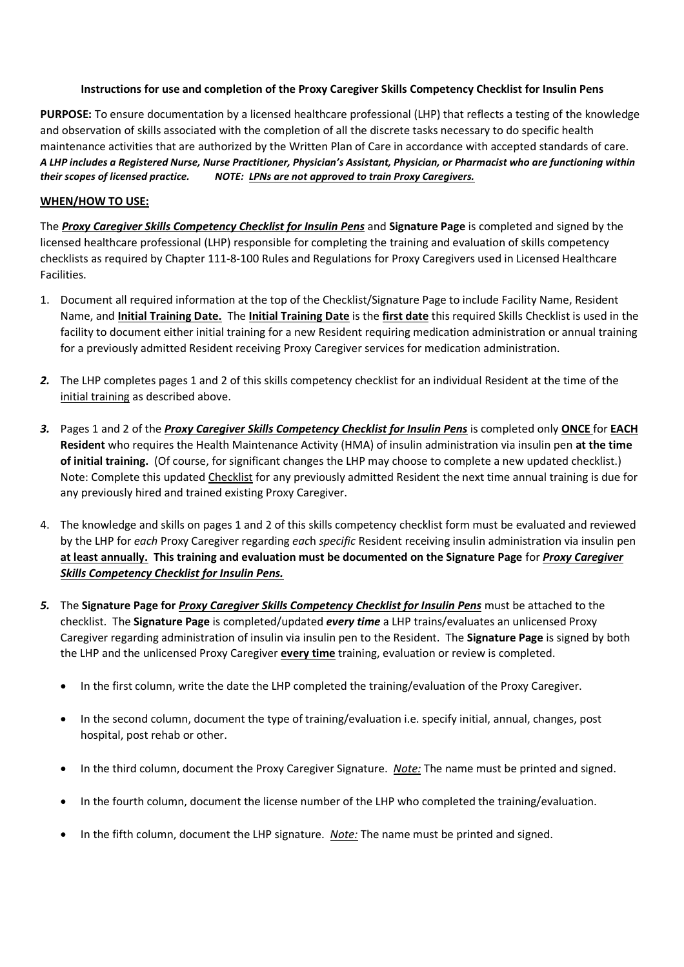#### **Instructions for use and completion of the Proxy Caregiver Skills Competency Checklist for Insulin Pens**

**PURPOSE:** To ensure documentation by a licensed healthcare professional (LHP) that reflects a testing of the knowledge and observation of skills associated with the completion of all the discrete tasks necessary to do specific health maintenance activities that are authorized by the Written Plan of Care in accordance with accepted standards of care. *A LHP includes a Registered Nurse, Nurse Practitioner, Physician's Assistant, Physician, or Pharmacist who are functioning within their scopes of licensed practice. NOTE: LPNs are not approved to train Proxy Caregivers.*

# **WHEN/HOW TO USE:**

The *Proxy Caregiver Skills Competency Checklist for Insulin Pens* and **Signature Page** is completed and signed by the licensed healthcare professional (LHP) responsible for completing the training and evaluation of skills competency checklists as required by Chapter 111-8-100 Rules and Regulations for Proxy Caregivers used in Licensed Healthcare Facilities.

- 1. Document all required information at the top of the Checklist/Signature Page to include Facility Name, Resident Name, and **Initial Training Date.** The **Initial Training Date** is the **first date** this required Skills Checklist is used in the facility to document either initial training for a new Resident requiring medication administration or annual training for a previously admitted Resident receiving Proxy Caregiver services for medication administration.
- *2.* The LHP completes pages 1 and 2 of this skills competency checklist for an individual Resident at the time of the initial training as described above.
- *3.* Pages 1 and 2 of the *Proxy Caregiver Skills Competency Checklist for Insulin Pens* is completed only **ONCE** for **EACH Resident** who requires the Health Maintenance Activity (HMA) of insulin administration via insulin pen **at the time of initial training.** (Of course, for significant changes the LHP may choose to complete a new updated checklist.) Note: Complete this updated Checklist for any previously admitted Resident the next time annual training is due for any previously hired and trained existing Proxy Caregiver.
- 4. The knowledge and skills on pages 1 and 2 of this skills competency checklist form must be evaluated and reviewed by the LHP for *each* Proxy Caregiver regarding *eac*h *specific* Resident receiving insulin administration via insulin pen **at least annually. This training and evaluation must be documented on the Signature Page** for *Proxy Caregiver Skills Competency Checklist for Insulin Pens.*
- *5.* The **Signature Page for** *Proxy Caregiver Skills Competency Checklist for Insulin Pens* must be attached to the checklist. The **Signature Page** is completed/updated *every time* a LHP trains/evaluates an unlicensed Proxy Caregiver regarding administration of insulin via insulin pen to the Resident. The **Signature Page** is signed by both the LHP and the unlicensed Proxy Caregiver **every time** training, evaluation or review is completed.
	- In the first column, write the date the LHP completed the training/evaluation of the Proxy Caregiver.
	- In the second column, document the type of training/evaluation i.e. specify initial, annual, changes, post hospital, post rehab or other.
	- In the third column, document the Proxy Caregiver Signature. *Note:* The name must be printed and signed.
	- In the fourth column, document the license number of the LHP who completed the training/evaluation.
	- In the fifth column, document the LHP signature. *Note:* The name must be printed and signed.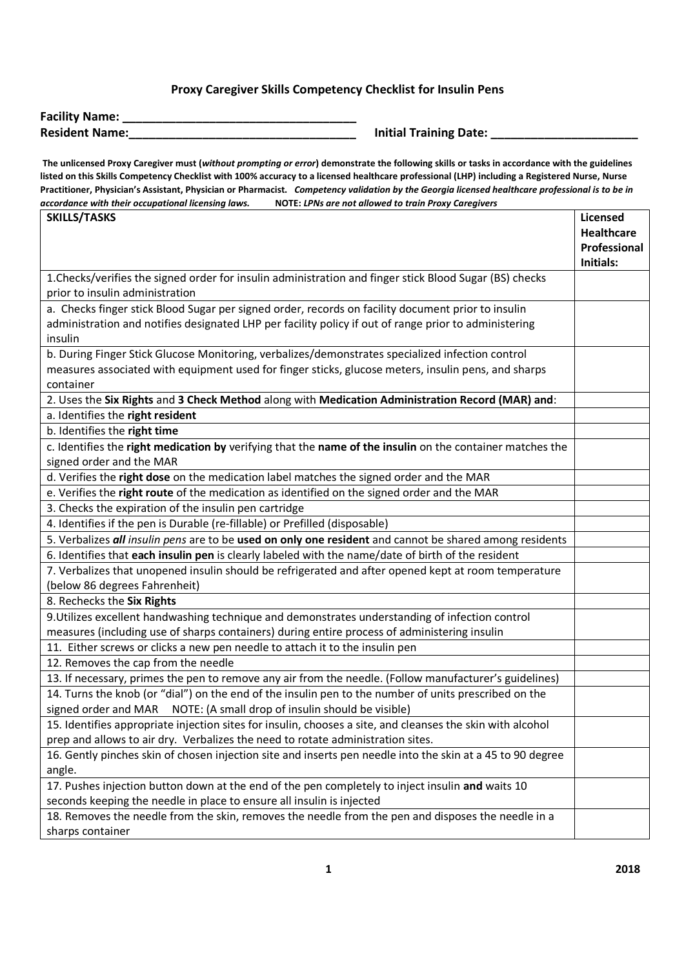# **Proxy Caregiver Skills Competency Checklist for Insulin Pens**

| <b>Facility Name:</b> |  |
|-----------------------|--|
| <b>Resident Name:</b> |  |

**Initial Training Date: \_\_\_\_\_\_\_\_\_\_\_\_** 

**The unlicensed Proxy Caregiver must (***without prompting or error***) demonstrate the following skills or tasks in accordance with the guidelines listed on this Skills Competency Checklist with 100% accuracy to a licensed healthcare professional (LHP) including a Registered Nurse, Nurse Practitioner, Physician's Assistant, Physician or Pharmacist.** *Competency validation by the Georgia licensed healthcare professional is to be in accordance with their occupational licensing laws.* **NOTE:** *LPNs are not allowed to train Proxy Caregivers*

| <b>SKILLS/TASKS</b>                                                                                        | Licensed                          |  |
|------------------------------------------------------------------------------------------------------------|-----------------------------------|--|
|                                                                                                            | <b>Healthcare</b><br>Professional |  |
|                                                                                                            | Initials:                         |  |
| 1. Checks/verifies the signed order for insulin administration and finger stick Blood Sugar (BS) checks    |                                   |  |
| prior to insulin administration                                                                            |                                   |  |
| a. Checks finger stick Blood Sugar per signed order, records on facility document prior to insulin         |                                   |  |
| administration and notifies designated LHP per facility policy if out of range prior to administering      |                                   |  |
| insulin                                                                                                    |                                   |  |
| b. During Finger Stick Glucose Monitoring, verbalizes/demonstrates specialized infection control           |                                   |  |
| measures associated with equipment used for finger sticks, glucose meters, insulin pens, and sharps        |                                   |  |
| container                                                                                                  |                                   |  |
| 2. Uses the Six Rights and 3 Check Method along with Medication Administration Record (MAR) and:           |                                   |  |
| a. Identifies the right resident                                                                           |                                   |  |
| b. Identifies the right time                                                                               |                                   |  |
| c. Identifies the right medication by verifying that the name of the insulin on the container matches the  |                                   |  |
| signed order and the MAR                                                                                   |                                   |  |
| d. Verifies the right dose on the medication label matches the signed order and the MAR                    |                                   |  |
| e. Verifies the right route of the medication as identified on the signed order and the MAR                |                                   |  |
| 3. Checks the expiration of the insulin pen cartridge                                                      |                                   |  |
| 4. Identifies if the pen is Durable (re-fillable) or Prefilled (disposable)                                |                                   |  |
| 5. Verbalizes all insulin pens are to be used on only one resident and cannot be shared among residents    |                                   |  |
| 6. Identifies that each insulin pen is clearly labeled with the name/date of birth of the resident         |                                   |  |
| 7. Verbalizes that unopened insulin should be refrigerated and after opened kept at room temperature       |                                   |  |
| (below 86 degrees Fahrenheit)                                                                              |                                   |  |
| 8. Rechecks the Six Rights                                                                                 |                                   |  |
| 9. Utilizes excellent handwashing technique and demonstrates understanding of infection control            |                                   |  |
| measures (including use of sharps containers) during entire process of administering insulin               |                                   |  |
| 11. Either screws or clicks a new pen needle to attach it to the insulin pen                               |                                   |  |
| 12. Removes the cap from the needle                                                                        |                                   |  |
| 13. If necessary, primes the pen to remove any air from the needle. (Follow manufacturer's guidelines)     |                                   |  |
| 14. Turns the knob (or "dial") on the end of the insulin pen to the number of units prescribed on the      |                                   |  |
| signed order and MAR    NOTE: (A small drop of insulin should be visible)                                  |                                   |  |
| 15. Identifies appropriate injection sites for insulin, chooses a site, and cleanses the skin with alcohol |                                   |  |
| prep and allows to air dry. Verbalizes the need to rotate administration sites.                            |                                   |  |
| 16. Gently pinches skin of chosen injection site and inserts pen needle into the skin at a 45 to 90 degree |                                   |  |
| angle.                                                                                                     |                                   |  |
| 17. Pushes injection button down at the end of the pen completely to inject insulin and waits 10           |                                   |  |
| seconds keeping the needle in place to ensure all insulin is injected                                      |                                   |  |
| 18. Removes the needle from the skin, removes the needle from the pen and disposes the needle in a         |                                   |  |
| sharps container                                                                                           |                                   |  |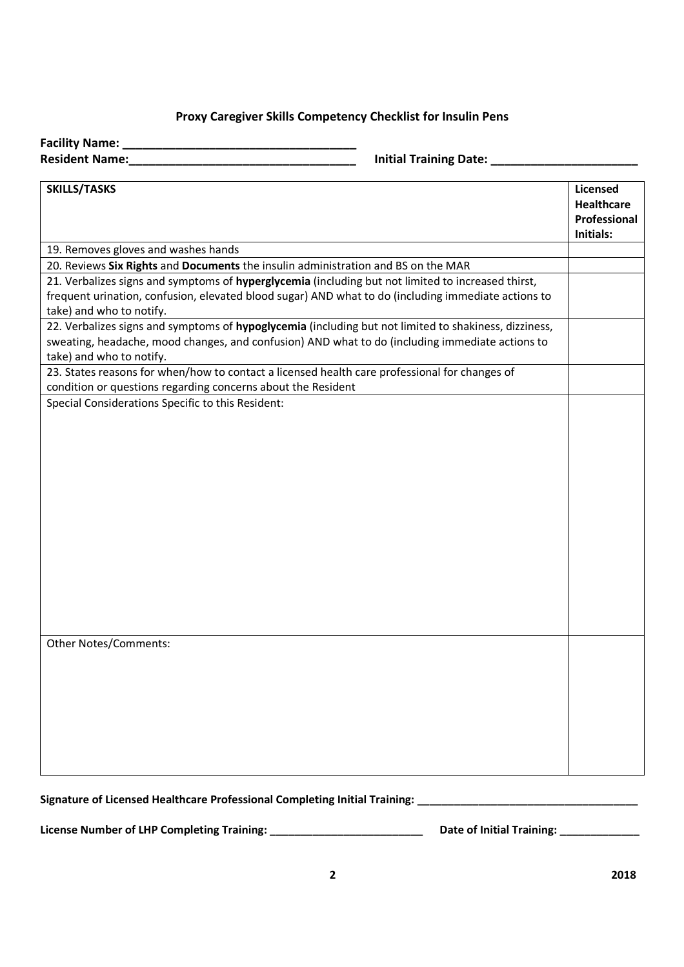# **Proxy Caregiver Skills Competency Checklist for Insulin Pens**

**Facility Name: \_\_\_\_\_\_\_\_\_\_\_\_\_\_\_\_\_\_\_\_\_\_\_\_\_\_\_\_\_\_\_\_\_\_\_**

**Resident Name:\_\_\_\_\_\_\_\_\_\_\_\_\_\_\_\_\_\_\_\_\_\_\_\_\_\_\_\_\_\_\_\_\_\_ Initial Training Date: \_\_\_\_\_\_\_\_\_\_\_\_\_\_\_\_\_\_\_\_\_\_**

| <b>SKILLS/TASKS</b>                                                                                                                                                                                                                   | <b>Licensed</b><br>Healthcare<br>Professional<br>Initials: |
|---------------------------------------------------------------------------------------------------------------------------------------------------------------------------------------------------------------------------------------|------------------------------------------------------------|
| 19. Removes gloves and washes hands                                                                                                                                                                                                   |                                                            |
| 20. Reviews Six Rights and Documents the insulin administration and BS on the MAR                                                                                                                                                     |                                                            |
| 21. Verbalizes signs and symptoms of hyperglycemia (including but not limited to increased thirst,<br>frequent urination, confusion, elevated blood sugar) AND what to do (including immediate actions to<br>take) and who to notify. |                                                            |
| 22. Verbalizes signs and symptoms of hypoglycemia (including but not limited to shakiness, dizziness,                                                                                                                                 |                                                            |
| sweating, headache, mood changes, and confusion) AND what to do (including immediate actions to<br>take) and who to notify.                                                                                                           |                                                            |
| 23. States reasons for when/how to contact a licensed health care professional for changes of                                                                                                                                         |                                                            |
| condition or questions regarding concerns about the Resident                                                                                                                                                                          |                                                            |
| Special Considerations Specific to this Resident:                                                                                                                                                                                     |                                                            |
| <b>Other Notes/Comments:</b>                                                                                                                                                                                                          |                                                            |

Signature of Licensed Healthcare Professional Completing Initial Training: \_\_\_\_\_\_\_\_\_\_\_\_\_\_\_\_\_\_\_\_\_\_\_\_\_\_\_\_\_\_\_\_\_\_\_

**License Number of LHP Completing Training: \_\_\_\_\_\_\_\_\_\_\_\_\_\_\_\_\_\_\_\_\_\_\_\_\_ Date of Initial Training: \_\_\_\_\_\_\_\_\_\_\_\_\_**